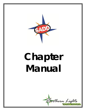

# **Chapter Manual**

Northern Lights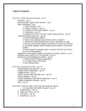### **Table of Contents**

*Part One: SADD Intro and Overview – pg. 3*

Welcome – pg. 4

About Northern Lights Youth Services – pg. 6

Basic Information  $-$  pg. 7

1. SADD Advisors – pg. 7

2. Chapter Activities – pg. 10

3. Forming a Community Coalition – pg. 12

4. Fundraisers – pg. 13

5. Student of the Year / Northern Lights Advisory Board – pg. 14 Frequently Asked Questions – pg. 16

1. How did SADD get started?

2. Does it cost anything to join SADD or form a chapter?

3. Explain the SADD Membership Contract / Members at Large

4. How are most SADD chapters structured? Do they have officers?

5. Are SADD chapters better off being school-based or communitybased?

6. What happens if someone signs a contract, but then isn't true to the no-use commitment?

Suggestions for new SADD Chapters & Reminders for existing chapters – pg. 21 Northern Lights SADD Is On The Internet! – pg. 22 Reporting to NLSADD/National SADD – pg. 23

1. National SADD Chapter Registration

- 2. NL SADD Roster Information
- 3. Star Rating System

*Part Two: Documents & Forms – pg. 24* 

SADD Membership Contract – pg. 25 Chapter Officer Application – pg. 26 Chapter Roster – pg. 27 SADD Yearly Project Planning Form – pg. 28 SADD Calendar – pg. 30 Chapter Standards / Star Rating Information – pg. 32 Chapter Standards Checklist – pg. 33 Note  $-$  pg. 35

*Part Three: Northern Lights Youth Services Programs offered* 

*in conjunction with SADD Chapters – pg. 36*

1. Reality Check – pg. 37

2. Open Your Eyes – pg. 38

3. Get REAL – pg. 39

4. BreakDown – pg. 40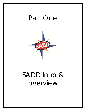## Part One



## SADD Intro & overview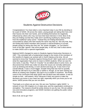

## Students Against Destructive Decisions

Congratulations! You have taken a very important step in your life by deciding to be a part of SADD. All across the nation, young people are taking their lives and their futures into their own hands, and not letting themselves be negatively influenced by others who may not have their best interests in mind. Best of all, they are finding out that they really aren't sacrificing anything by staying away from the traditional "party scene." Instead they are finding themselves surrounded by others who feel exactly the same way they do. Not only that, they are finding that SADD members also possess a natural tendency to accept people simply for being who they are. No "power struggles," no "put downs," none of the little "games" that some people play. In the end, that is what seems to make SADD such a special organization.

National SADD changed its name to Students Against Destructive Decisions in 1997. This coincided with a fundamental change in the minds of the members of the handful of chapters we worked with in North Dakota at the time. We all seemed to know that "Students Against Driving Drunk" didn't quite work to reflect what the organization had come to mean to SADD students. When we saw the new name, it was like, "That's it! Exactly!" As we talked about it some more, we discovered that SADD was really not about the issues we normally addressed, such as drinking and driving, or even alcohol and drug use. It was more of an overall attitude. It was a much bigger, broader thing that was hard to quantify. We felt we still had to try to *describe* or *define* it, though, as we were starting our efforts at creating new chapters. We had to try to explain it *somehow*. We finally came to the conclusion that what SADD was all about was self-esteem. It was as simple as that – self-esteem. Why? Because it feels very good to make the decisions you know in your heart are right, especially when you know you're not alone. SADD proves that you are not alone.

That leads us to where we are now. We are now "Northern Lights SADD," a network of over 200 chapters in a 3-state area, and the organization continues to strengthen. The reasons should be pretty obvious to you by now. We are adding new and innovative programs, and SADD members are getting the public notice they deserve.

Best of all, we've got YOU!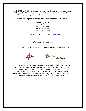As NL SADD staff, it is not only our responsibility - it is an honor for us to do our best to keep SADD current and an important part of your life. Be sure to let us know if there is anything we can do for you.

Thanks for making a positive change in the world, one decision at a time!

Northern Lights SADD PO Box 743 Hillsboro, ND 58045 Ph: 800-890-5852 Fax: 701-636-3929

Lee Erickson, NL SADD Coordinator: [lee@nlsadd.com](mailto:lee@nlsadd.com)

Website: [www.nlsadd.com](http://www.nlsadd.com/)

Northern Lights SADD – a program of Northern Lights Youth Services



*NOTE: While this handbook contains an extensive amount of information, resources, and ideas, it is not exhaustive. If you would like more information regarding any part of SADD (background of the organization, chapter info, resources / ideas for issues, media / legislative relations, activities, templates, etc.) please contact Northern Lights SADD using the information above. We are here to support you in your chapter's efforts in any way we can!*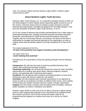*"Hey, I'm confused. What's with the Northern Lights SADD / Northern Lights Youth Services stuff?"*

### **About Northern Lights Youth Services**

Northern Lights Youth Services, Inc. is a nonprofit corporation formed in 2003. As the SADD program in North Dakota started expanding rapidly around the turn of the century, it became obvious that we needed a proper structure to provide financial and programmatic oversight and guidance for the SADD program. That led to the formation of Northern Lights Youth Services, or NLYS.

NLYS has a board of directors that includes representatives from a wide range of professional backgrounds, including secondary and post-secondary education, prevention, law enforcement, health services and the business community. Together with NLYS Executive Director Lee Erickson, the Board of Directors is responsible for strategic and financial planning for the organization, as well as making certain that all activities adhere to the high standards NLYS has set for itself.

The mission statement of NLYS is, *"to lead in the promotion and support of positive youth development."*

The vision of NLYS is, *"youth realizing their potential."*

Everything we do is grounded on those two guiding principles and the following values:

**Compassion.** We will know the heart of youth by carefully listening to their culture, their environment and their emotions.

**Passionate leadership.** We will lead with passion the cause for youth, providing opportunities for a positive peer group haven, effective programs, dynamic events, and partnering with strong local adult support.

**Excellence.** We will operate with excellence and professionalism at every level, working as a team with sincere respect for one another.

**Innovation.** We will creatively seek continual improvement in our approach to issues as well as our programs and plans to address those issues, never settling for the obvious but always striving to become a better, stronger organization. **Integrity.** We will conduct ourselves with the highest level of integrity, setting as public examples our actions, motivations and speech.

Northern Lights SADD is at the core of NLYS efforts, because a logical starting point for youth realizing their potential is the commitment to be substance-free. But it doesn't end there. Part 3 of this manual will explain other NLYS programming that supports our mission and serves as a tool for our SADD chapters.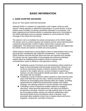## **BASIC INFORMATION**

### **1. SADD CHAPTER ADVISORS**

### *ROLE OF THE SADD CHAPTER ADVISOR*

Although SADD is a student-run organization, each chapter needs an adult advisor. Having expertise in adolescent psychology or in youth alcohol- or drugrelated issues is helpful, but being a prevention specialist is not required. The basic requirements are that the advisor is passionate about and is committed to the SADD philosophy and can empower students to communicate the SADD message in the school and community.

The advisor's role is to facilitate the activity and dynamics of the SADD chapter. The advisor acts as a liaison between the students and the school administration/ community and promotes a SADD chapter culture that is inclusive and collaborative. The advisor also ensures that the chapter activities are aligned with the SADD mission and adhere to SADD and school policies.

SADD advisors should have a strong ability to listen to what students have to say and treat their contributions with respectful consideration. To be empowered, SADD students must feel that their ideas and input are important and valuable. The advisor has the responsibility of encouraging and reinforcing individual student efforts by facilitating each student's sense of inclusion and connectedness, power to influence, and openness to others.

- Facilitating a sense of inclusion and connectedness allows students to begin to trust themselves and the people around them. Advisors can do this by welcoming all types of diverse students and then helping students in the chapter discover common threads of experiences. Advisors can also help students identify perception, values, and beliefs they share with one another.
- Facilitating a sense of influence allows students to learn that they have power and what they say has value. Advisors promote this sense of influence by encouraging active listening within the chapter, providing opportunities for student-led brainstorming activities and chapter meetings, and allowing students to choose activities and assignments.
- Facilitating a sense of openness enables students to engage in discussion, share personal experiences, and value one another's perspectives and ideas. Advisors can help students learn to be open by encouraging problem solving and collective deliberation when discussing issues and by honoring the value of diversity. Such processes allow students to learn how to respect others and how to negotiate, compromise, and build consensus.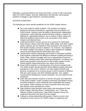Ultimately, successful advisors are those who foster a sense of safe community within the SADD chapter, promote collaboration and diversity, and empower students to engage in, get involved in, and lead activities.

### *ADVISOR GUIDELINES*

The following are some specific guidelines for the SADD chapter advisor:

- Be a role model for SADD students. This includes not making destructive decisions themselves, especially around students or at SADD events. Advisors have the ability to demonstrate collaboration, compassion, active listening, positive decision-making, a respect for differences, appropriate behavior, and a number of other values and skills that students need to learn to be successful in their SADD chapter and individual lives.
- Understand SADD's mission and act as a resource for information about alcohol, tobacco and other drugs, traffic safety, and other related issues. Advisors are not required to have expertise in the issues that their SADD chapters choose to address. It is, however, very helpful to the SADD chapter if the advisor is able to direct students to available resources that will provide the information they need.
- Clearly define SADD's philosophy and mission to interested students. Help students understand the difference between enabling and being a friend. Often, students struggle with how to appropriately respond to their peers' drinking and/or other destructive behaviors. An advisor can assist young people in learning how to offer healthy support to their friends without compromising their own values and choices.
- Assist SADD students in recruiting peers from diverse backgrounds. The SADD chapter should represent all the different grades and youth populations in the school. Advisors can help chapters identify and become recognized as an inclusive group in which students of different skill sets, peer groups, and other identities (gender, race, religion, socioeconomic background, sexual orientation, etc.) are welcome and embraced.
- Work with and empower students to achieve the goals and objectives of the SADD chapter. Foster a positive community atmosphere among all SADD students in which individuals feel comfortable and respect one another. SADD students are most successful when they know their advisor trusts and believes in them.
- Help students make decisions about policy and procedures for their SADD chapter (electing officers, meeting times, etc.). There are different models of governance. Help SADD students choose the model that they feel is the best fit for the chapter.
- Cultivate a strong relationship with parents. Parents can be a key component to the success of a SADD chapter. If supportive and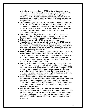enthusiastic, they can reinforce SADD and provide assistance at various levels. They can help by encouraging students to participate, lending a hand on a project, raising funds for the chapter, or advocating for SADD with other parents and influential adults in the community. Make sure parents are committed to letting the students complete tasks.

- The Northern Lights SADD office is a valuable resource. By contacting NL SADD, you can receive important information about training and conference opportunities, advisory boards, local initiatives, etc. The NL SADD office also has a number of resources that can be used in campaigns, including event/media templates, activity ideas, presentation outlines, etc.
- Stay in touch with the Northern Lights SADD office! Please send pictures and details of your events and activities, which can be features on the website, in newsletters, at conferences, etc.
- Submit reports to the NL SADD office when requested.
- Act as liaison between school administration and the SADD chapter. Often, SADD chapters need administrators' collaboration to achieve their goals. By cultivating interest and support from key administrators, staff, and other adults in the community, advisors can gain support for SADD programming and activities.
- Serve as facilitator for all student efforts and activities related to SADD. Help students complete the tasks they have taken on by gently providing support, guidance, and direction when needed. The goal is to empower students to take ownership of projects and get the work done. Advisors often need to teach SADD students *how* to do things and refrain from doing things for them.
- Encourage the chapter to involve community members such as local law enforcement, government officials, charitable organizations, etc., in activities related to SADD. Community involvement strengthens SADD programming because it brings together resources and helps youth and adults move toward a common goal. Community involvement promotes real change in which young people and adults work together to change destructive attitudes and behavior.
- Offer a "friendly ear" and support to all student concerns. Often students seek their advisor's counsel on projects, activities, school and family issues, and other personal situations. Successful advisors always respect and value their SADD students' input and experiences and lend support and compassion when students divulge personal feelings or perspectives.
- $\blacksquare$  Identify local media contacts who oversee the youth beat and keep them informed of any SADD chapter activities. Getting media coverage for SADD programming increases SADD chapter visibility and support in the community and in the school. Develop a working relationship with reporters and be sure to invite them to SADD chapter events and programs.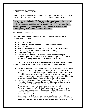## **2. CHAPTER ACTIVITIES**

Chapter activities, naturally, are the backbone of what SADD is all about. These activities fall into two categories – *awareness projects* and *fun activities*.

*First, keep in mind that all SADD chapter members must abide by the strict "nouse" policy (drinking in moderation is NOT acceptable—after all, it* is *illegal!). There are only a few restrictions on activities that SADD cannot endorse; these include organizing or sponsoring formal designated driver programs, and accepting money from alcohol or tobacco companies.*

### *AWARENESS PROJECTS*:

The majority of awareness projects will be school-based projects. Some traditional events include:

- Mock car crashes
- Grim Reaper Day (also referred to as ghost-out or white-out day)
- Mock funerals
- Seat belt awareness (examples: "quick click" contests, seat belt checks)
- Chain of life (can be used for a variety of campaigns)
- Red Ribbon campaign
- Many more, too numerous to mention. Much information regarding awareness projects can be found at the Northern Lights SADD website (nlsadd.com), or by contacting the NL SADD office directly.

It is very important to have diverse awareness projects, so that the chapter does not become "one dimensional". Turn your attention to a variety of issues:

- Suicide awareness. Don't overlook this issue, but do it right. Get educated. Visit with your school counselor and other professionals to devise a program. Consider a suicide prevention curriculum. Or, sometimes, even something as simple as a series of positive notes and sayings put onto lockers or posters can be just what someone contemplating suicide needs to reaffirm that individual's value and build up their self-esteem.
- Alcohol the  $#1$  drug problem in the country. There is a lot of current information about the hazards of underage drinking and binge drinking, including the effects on the developing adolescent brain.
- Prescription drug abuse, an issue rising at an alarming rate.
- Tobacco use. Join in the "Kick Butts" campaign. Look into school and community policies regarding tobacco use, and don't forget to address smoke-free tobacco products in your campaign efforts.
- Sexual abstinence/STDs.
- Eating disorders. Eating disorders can sweep through a school like an epidemic. Use your creativity to address eating disorders and share your ideas with other chapters. We have seen success simply from high school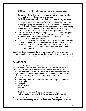SADD members visiting middle school classes and discussing the problem and the underlying feelings and root causes of this issue.

- Self esteem. Remember low self esteem is a primary reason for falling into virtually every destructive behavior pattern.
- The Get REAL campaign. Be aware that many prevention professionals have said that we are on the "cutting edge" of prevention technologies with this program, especially since it targets high school aged students – the demographic group that has always posed such a challenge. In essence, Get REAL is what is called a "social marketing" concept. It clarifies the "big picture" and tries to establish a new attitude. Naturally, we will only succeed if we have as many schools as possible participating.
- Reality Check. This is a program unique to NL SADD, and was designed with input from NL SADD students and advisors. It is a 7-lesson elementary curriculum designed for grades 4-6 that uses high school SADD students as lesson facilitators.
- Consider hosting a regional conference. Promote new chapters by inviting students from other schools in your area who may be interested in SADD. Tell them about what you are doing and why you are doing it, and tell them of your hopes for what might happen if there were other chapters in the area to network with.

Don't forget that a program can be even more successful if it involves your community itself, not just your school. Let the community know you are there and that you care about these issues. You may be surprised at the ideas and support that can come from something as simple as that.

### *FUN ACTIVITIES:*

Have fun with SADD! You should try to have several fun activities each year. Show your peers that you know how to have a good time without involving alcohol and the other "stuff". Too many young people think that you cannot possibly have fun if you are in SADD, which is a ridiculous concept. Yet, the thought is out there, so prove them wrong. And, remember that fun activities are terrific tools for recruiting. Some of the things chapters do include:

- Lock-ins
- Sponsoring school-wide dances (which can also be good fundraisers)
- Movie nights
- Pizza parties
- Bowling outings
- Bonfires
- Progressive suppers
- BYOB (Bring Your Own Banana) banana split making
- Inviting members from other SADD chapters to attend fun activities

Don't forget, also, that one of the most important things that SADD members can do is to commit to attending the NL SADD conference and regional events. We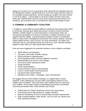always do our best to mix in a good dose of fun along with the important work we do! Meeting like-minded, caring friends from across the region (and the nation) is an incredibly exciting experience, and the energy you acquire from that is bound to rub off on others. I cannot begin to count the number of times I have seen these new "SADD friends" become some of the closest personal friends of our members, and it all stems from a commitment to attend multi-chapter events.

### **3. FORMING A COMMUNITY COALITION**

A coalition is a joint effort by several different individuals and organizations within a community, focused upon addressing various concerns of that community. Whether a SADD chapter is community based or school based, there are tremendous advantages to forming a committee of coalition members to work together with the chapter. A good prevention program involves a coordinated effort on many fronts, including law enforcement, the schools, parents, churches, health-related services, and of course, the youth themselves. No matter how hard they may try, any individual group can only do so much, whereas working together a team effort can reap a great deal of benefit.

Here are some suggestions for potential members of your coalition committee:

- SADD officers and advisor(s)
- City police chief and/or Sheriff or deputy
- School principal or superintendent
- School guidance and/or chemical addiction counselor
- Representative from local or area colleges
- Fire rescue and/or ambulance worker
- Clergy members
- Parent representatives
- County Extension Service representative
- Local or county health service personnel
- City government representative
- Members of the media newspaper, radio, and television

We suggest that you hold coalition meetings on a regular basis, at least quarterly. At the meeting you can give status and progress reports on your chapter and its activities. There are many, many benefits that can come from your coalition, not the least of which is developing that precious coordinated community prevention effort. Other benefits may include:

- Getting ideas for chapter awareness events and expert advice.
- Community service opportunities for chapter members.
- Ideas for fundraising, as well as sponsorships and grant opportunities.
- Help in putting together "major events", such as mock car crashes and other awareness projects.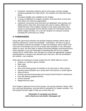- Continuity. Sometimes advisors quit or move away, and key chapter members graduate from high school. The coalition can help keep things going.
- Increased visibility and credibility for the chapter.
- A sense of fulfillment for chapter members. Everyone likes to know that their efforts are noted and appreciated.
- Letting the community know that there are dedicated, hard-working, and willing youth in their town and school who want to make a difference. It makes the jobs of the coalition members much easier when they have access to young people and the delivery system for information that the SADD chapter provides. It's a win-win situation for everyone involved, including the community as a whole.

## **4. FUNDRAISERS**

Along with sponsoring activities and perhaps helping members attend state or national conferences, comes the inevitable – fundraisers. The key is to get as many members involved as possible, to share the workload, and to make it fun! Two sorts of fundraisers you can do to easily raise hundreds, if not a thousand dollars or more, are food sales or selling community birthday/ anniversary/school event calendars. If you are interested in something like this for your chapter, contact the NL SADD office, who will help you contact the appropriate company representatives or answer most questions you may have. Still, the possibilities are endless—use creativity!

Other ideas for fundraisers include (contact the NL SADD office for more!):

- Student vs. teachers sports contests
- Bake sales
- Car washes
- Rent-a-kid (hiring groups of members to do yard work or other chores)
- Sporting events between your varsity team and teachers or public figures
- Dance-a-thons
- Serving concessions/providing lunch during Parent/Teacher Conferences
- Free-will offering spaghetti dinners
- School carnivals
- Magazine/Pizza sales

Don't forget to approach local church groups, civic groups (Kiwanis, Rotary, Elks, etc.) and local businesses, and ask them for donations for chapter activities. You will usually find them eager to help you as best they can.

### *Remember to recognize any donors with a thank you note and/or newspaper ad!*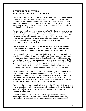### **5. STUDENT OF THE YEAR / NORTHERN LIGHTS ADVISORY BOARD**

The Northern Lights Advisory Board (NLAB) is made up of SADD students from North Dakota, South Dakota, and Minnesota. The board currently consists of students from each of the four geographic regions of North Dakota (Northeast, Southeast, Northwest, and Southwest), as well as representatives from South Dakota and Minnesota. The current Student of the Year (SOY) is automatically a member of the NLAB as well.

The purpose of the NLAB is to help design NL SADD policies and programs, plan the NL SADD conference and regional conferences, and to help promote SADD in their respective regions. Most importantly, the student members of the NLAB are the voices for young people across the region. They are counted upon heavily for their opinions. The NLAB meets once or twice in the summer and once in the winter; other meetings, either face-to-face or by chat room/conference call, are held as well.

New NLAB members campaign and are elected each spring at the Northern Lights conference. Student candidates can be current high school freshmen through juniors, and no more than two candidates per chapter can apply.

The Student of the Year is always elected while a high school junior, and serves his or her term during their upcoming senior year. Each chapter may submit only one applicant. Depending upon the number of applicants, candidates may be narrowed down to one per region, decided upon by a team consisting of NLYS Board of Directors members, staff, and alumni. The final voting for Student of the Year is conducted by a team consisting of NLYS Board of Directors members and NLAB alumni, with the NL SADD coordinator casting a tie-breaking vote if necessary. The new SOY is introduced at our spring NL SADD conference.

The Student of the Year, in turn, becomes a Northern Lights representative for consideration for National Student of the Year honors, or to be chosen as a member of the national SADD Student Leadership Council. The Student of the Year is the official spokesperson for SADD students across the Northern Lights region and is highly visible through presentations, press releases, etc., and may be contacted by media outlets for statements and opinions.

Each winter, information and applications for both the SOY and NLAB are sent to every chapter in the region; information can also be found online at the NL SADD website. Chapters can use whatever means they decide to choose their particular candidate(s).

All NLAB students and the SOY are held to a high level of accountability regarding the no-use policy and other "destructive decisions" themes. Any violation of those terms can result in immediate removal from their position.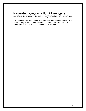However, this has never been a huge problem. NLAB students are there because they are already dedicated to our ideals and they want to make a difference to others. The NLAB experience only deepens that level of dedication.

NLAB members form strong bonds with each other, and the entire experience is something they will undoubtedly remember the rest of their lives. It is fun work, serious work, and a very special opportunity, all rolled into one.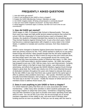## **FREQUENTLY ASKED QUESTIONS**

1. How did SADD get started?

2. Does it cost anything to join SADD or form a chapter?

3. Explain the SADD Membership Contract / Members at Large

4. Are SADD chapters better off being school-based or community based?

5. How are most SADD chapters structured? Do they have officers?

6. What happens if someone signs a contract, but then isn't true to the no-use commitment?

### **1. How did SADD get started?**

SADD began in 1981, in Wayland High School in Massachusetts. That year, there were two tragic and high profile alcohol-related accidents that rocked the school. With the cooperation of a teacher/hockey coach at Wayland, Bob Anastas, the students of Wayland decided they wanted to do something about it. They formed Students Against Driving Drunk. In just a few short years, SADD had become a national organization with chapters in every state in the United States, in addition to Canada and countries overseas, from New Zealand to Africa.

SADD's name changed to Students Against Destructive Decisions in 1997. There were two primary reasons for this. First, SADD wanted to clarify its no-use policy toward drugs and alcohol. Many people thought that the old name implied that we were saying it was okay for kids to drink as long as they don't drink and drive, and that simply wasn't the case. Also, young people across the country had proven that they have tremendous power to influence their peers. In 1981, there were over 6,000 teens killed in alcohol-related crashes. By 1999, that number had dropped to just over 2,000. Still too many, but a *vast* improvement. Certainly, SADD wasn't alone in the fight to lower that number. Law enforcement, media advertising, and efforts from groups like MADD (Mothers Against Drunk Driving) helped a great deal. But, SADD was clearly one of the most influential because of dedicated members throughout the years who helped to educate their peers. By the late 1990s it was clear that there was a great need for the same type of effort to address other problems teens face – like suicide, HIV/AIDS and other sexually-transmitted diseases, teen pregnancy, and violence, to name just a few. The best way to do this? Of course – modify the mission of SADD and turn our members loose to address those issues, too.

### **2. Does it cost anything to join SADD or form a chapter?**

It is SADD National's policy that there are no costs associated with SADD membership— unlike many other activities in which students participate; we encourage chapters to adopt that same policy. Sometimes a beginning chapter may ask their members to pay dues to provide some basic operating funds with which to work. You can do this if you must, but we encourage you to accept members regardless of their ability to pay, and work hard to develop other funding sources as soon as possible, so that you can do away with the need to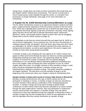charge dues. Usually there are funds out there somewhere that would help your get chapter started, making dues unnecessary. This may be a community or church-based group, funds available through the school, or a donation from businesses or private individuals. (See page 13 for more information on fundraising.)

### **3. Explain the NL SADD Membership Contract/Members at Large**

The NL SADD membership contract is an agreement between students and their peers, underscoring the importance of the two primary sections of the document: First, SADD has a **no-use** policy toward the use of alcohol and other drugs, and it is expected that those signing accept that commitment. Secondly, those signing agree that they will do their best to educate themselves about "destructive decisions" issues, and provide positive support to peers who may be struggling. Please refer to the NL SADD contract on page 25.

It is absolutely crucial that you remind yourself time and again that NL SADD is a very *inclusive* organization, not an *exclusive* one. We are not in the business of creating a group of elite "do-gooders" who look down upon those who don't share our philosophy. NL SADD's student members represent the entire spectrum of backgrounds and talents, as well as past experiences. We want to support and include as many other young people as possible.

A member at large is any individual who has signed an NL SADD contract and agrees to follow and live the lifestyle but does not intend on actively participating in/attending meetings and other events. This opportunity allows NL SADD chapters to increase the number of students who are actively pledging themselves to a no-use lifestyle without dedicating additional commitment and time to the chapter, while increasing the name recognition of your NL SADD chapter within the school. If a chapter chooses to have members at large, a solid policy should be developed that defines a member at large and any rules/restrictions relating to members at large. This policy should be available to all chapter members. The best time to recruit members at large is at the beginning of the school year when your chapter is doing its membership drive.

#### **Sample member at large policy (used at Century High School in Bismarck):**

*Members at large will be persons who sign a SADD contract but do not participate in meetings or events. A member at large can become classified as an active member if they attend a combination of five meetings/awareness activities. A member at large will not be given funding to attend SADD conferences of other events unless they become classified as an active member through the steps stated above; however, they may participate in conferences and fun events at their own expense. A member at large may only attend conferences if they have attended at least two meetings or awareness events. A member at large may list their membership in SADD on any application or form with the stipulation that they classify themselves as member at large.*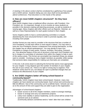*A meeting in the above context shall be constituted by a gathering of two people and a SADD adviser. Students failing any one class shall not be permitted to attend conferences. Final discretion is in the hands of the adviser.*

### **4. How are most SADD chapters structured? Do they have officers?**

Most SADD chapters have a traditional officer structure, with President, Vice President, etc. It is important, though, to try to involve as many students as possible in the decision-making and planning processes, as well as students of varying ages. Many chapters add other offices such as Reporter, Historian, as well as a Class Representative for each grade involved in their chapter.

Some chapters prefer to have a central planning committee or a board, abandoning the more structured format in order to promote equality, and including more people.

Another format you may want to consider is the structure that has a number of Vice Presidents, so that each officer is more equal in stature. You may want to have the Vice Presidents choose a chairperson from among themselves, so that the chapter has an official spokesperson. You may decide to have Vice Presidents in charge of many areas: Finance, Activities, Recruiting, Outreach, etc. One attractive feature of this sort of structure is that each Vice President can be in charge of a committee of volunteers from within the chapter to help in each of the various areas. This format can accomplish two important things you always want to consider: Involving as many chapter members as possible, while seeing that someone takes responsibility for making sure that tasks are completed.

In the end, it all comes down to selecting the format that seems most appropriate for your chapter. It may depend upon the number of members in your chapter, the size of your school, etc. There is no right or wrong way to organize. Find whatever works best for you, but always be open to potential changes that can enhance the effectiveness of your chapter.

### **5. Are SADD chapters better off being school-based or community-based?**

Traditionally, SADD chapters have been school-based. However, many new chapters we have started are community-based. Each school and community is a little bit different. Size of the community can be a definite factor. Schools can vary as to the amount of time and support they are able to give to the organization.

### *Advantages of school-based chapters*:

- Easier access to all of the chapter members, easier to arrange meetings.
- Easier to arrange and carry out awareness projects.
- Likely more stability in advisor leadership, as the school will be certain that someone acts as an advisor.

(Community advisors sometimes tend to "retire" after their own children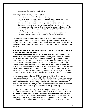graduate, which can hurt continuity.)

*Advantages of community-based chapters*:

- Ability to operate 12 months out of the year.
- Access to expertise on a number of topics from professionals in the community as well as community financial support.
- Greater ability to conduct community-wide awareness projects.
- Government agencies and prevention experts are unanimous in their endorsement of total community anti-drug efforts and coalitions, and the importance of including youth in those efforts. SADD can fit that model perfectly.
- Allows for better inclusion of the important parental component in prevention and facilitates better parent-youth communication.

The ideal solution is probably a combination of both – a community based chapter with an in-school contact person to help with awareness activities. The community advisors take the bulk of the load for overseeing the chapter, but full cooperation and commitment from the school administration and counseling staff is a must.

### **6. What happens if someone signs a contract, but then isn't true to the no-use commitment?**

This doesn't happen often, but it is important to discuss in the event that it does. Before we talk about this, maybe we should probably backtrack a little bit and recall what was said in the section about the Membership Contract. In that section we said it was important to remember that SADD is an *inclusive* group and not an *exclusive* one. Not only is SADD an organization for youth who choose not to involve themselves in destructive behaviors, but for youth who have found themselves engaged in those behaviors in the past, but use SADD as a way to help them to stay "straight" in the future. In short, it doesn't really matter where you've been in the past; all we care about is where you're at today, and the next day, and the next. In other words, we tend to be a very forgiving group.

At the same time, though, your SADD chapter and ultimately the entire organization have an image to uphold in the school and community, and a basic no-use doctrine that is at the very heart of everything we do. You cannot simply ignore violations of the membership commitment. This is probably one of the most serious matters you and your chapter can be faced with, and it is important that you discuss the possibility and formulate a policy right away.

One possible approach is using this policy adopted by many chapters: For regular chapter members, if they are suspended from other school activities for, let's say a six week period of time, they would be considered suspended from SADD chapter activities for that same length of time. After that suspension was over, that person would be invited to sign a new contract and be reinstated as a member in good standing. However, there would be a "three strikes and you're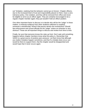out" limitation, realizing that this behavior cannot go on forever. Chapter officers, due to the increased level of trust and responsibility placed on them, have a zerotolerance policy. One violation, and they will be removed from office and never be eligible to serve as an officer again. They are certainly encouraged to be a regular chapter member again; they just wouldn't hold an officer position.

One other important factor to discuss is to decide who will be the "judge" in these matters. Is hearsay evidence from other students sufficient to suspend someone's membership? What if that person denies the involvement? Should law enforcement and school officials be the "judge" unless an infraction is very obvious? These are all important things to discuss and review from time to time.

Finally, be sure that everyone knows the rules up front. Don't wait until something happens before chapter members know what the policy is. Remember that SADD is a great source of positive peer pressure. Let them know that although you realize mistakes happen sometimes, and that if a mistake does occur you would be there to support them, that the chapter would be disappointed and would hope that it never occurs again.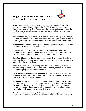## **Suggestions for New SADD Chapters** (And reminders for existing ones)



**Do awareness projects.** Don't forget that your most important function is to protect your friends' lives. Implement the Get REAL program in your school. Hold a mock car crash or Grim Reaper day. Do projects addressing suicide, the effects of alcohol and other drugs, school violence, acceptance of others, and so forth. Be creative.

**Reach out to younger students.** Be a mentor. They will look up to you and you can have a tremendous impact on them. Many chapters regularly have members speak to junior high & elementary students. Use the Reality Check curriculum!

**Use the media.** Let the community and surrounding area know you're there and that you are willing to stand up for your beliefs.

**Commit to going to NL SADD regional and state events.** Nothing can strengthen you and your chapter like getting to know like-minded young people from other towns. Other chapters are also a source of fresh ideas.

**Have fun.** Chapter members should be rewarded with fun outings. It is also a great way of showing would-be members that you know how to have a good time without alcohol and other drugs.

**Conduct fundraisers.** This will help visibility in your community, help you buy materials, bring speakers to your school, and help defray the cost of fun events and attending regional and state conferences.

**Try to involve as many chapter members as possible.** Everyone can make a difference, and they deserve a chance to do so. Ask for volunteers to help with specific projects. Encourage their input.

**Be supportive, but not condemning.** Try to provide support and be a positive role model for your peers. SADD isn't an *exclusive* group, but an *inclusive* one. We want to be there to help them. Be firm in your beliefs, yet forgiving at the same time. You don't have to agree with the decisions of others, but respect them and they will respect you and your decisions.

**Volunteer in your community.** Volunteerism is a great way to give back to people in the community. Not only is your service appreciated, but it feels great.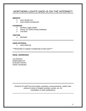## NORTHERN LIGHTS SADD IS ON THE INTERNET!

### **WEBSITE**

- o [www.nlsadd.com](http://www.nlsadd.com/)
- o [www.nlsadd.com/parents](http://www.nlsadd.com/parents)

### **FACEBOOK**

- o Northern Lights SADD<br>o Group: NL SADD Active
- o Group: NL SADD Activity Database<br>
o Cow Moo
- o Cow Moo

### **TWITTER**

o @nlsadd

### **SADD NATIONAL**

o [www.sadd.org](http://www.sadd.org/)

*\*\*\*Remember to register at beginning of each year!\*\*\**

### **EMAIL ADDRESSES**

*Lee Erickson*  [lee@nlsadd.com](mailto:lee@nlsadd.com) Executive Director, SADD Coordinator

> *Email NLYS staff if you have ideas, questions, announcements, and/or have photos to share of chapter activities, events, etc. for newsletters or other publications!*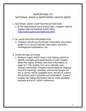## REPORTING TO NATIONAL SADD & NORTHERN LIGHTS SADD

## 1. NATIONAL SADD CHAPTER REGISTRATION

o At the beginning of every school year, chapters need to register with the National SADD office [\(http://www.sadd.org/chapterreg.htm\)](http://www.sadd.org/chapterreg.htm).

## 2. NL SADD ROSTER INFORMATION

o Chapters should use the Roster Information document (page 27) to record member information and track meeting/event attendance, etc.

## 3. STAR RATING SYSTEM

o Northern Lights SADD uses a Star Rating system to identify strengths and weaknesses of each chapter within the region. (Please see more information on page 32.) This system runs on a calendar year, January-December. Chapters should keep an ongoing record of meetings, activities, and events (pages 33- 34). A survey will be available each January to submit the previous year's activities and information. Current chapter star rating information will be made available annually at the NL SADD conference.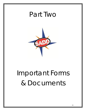## Part Two



## Important Forms & Documents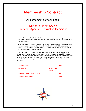## **Membership Contract**

An agreement between peers

## Northern Lights SADD Students Against Destructive Decisions

I realize that we are faced with potentially destructive decisions every day. Not only do our choices affect our own lives, but the safety, overall well-being, and very lives of those around us as well.

By signing below, I pledge to my friends and myself that I will be a dedicated member of Students Against Destructive Decisions (SADD). I realize that SADD has a no-use policy toward alcohol and drug use, which is in my best interest and that of the chapter as a whole. I accept that commitment.

To the very best of my ability, I will educate myself and take a stand against alcohol, tobacco, and other drug use, drinking and driving and other dangerous driving habits, violent behavior, negative attitudes toward others, and other destructive decisions as they appear. At the same time, I promise to be understanding and supportive of those who struggle with these issues, and provide the best possible means of positive peer influence.

| Signature of Student: Signature of Student:                                                                    | Date: the contract of the contract of the contract of the contract of the contract of the contract of the contract of the contract of the contract of the contract of the contract of the contract of the contract of the cont |  |  |
|----------------------------------------------------------------------------------------------------------------|--------------------------------------------------------------------------------------------------------------------------------------------------------------------------------------------------------------------------------|--|--|
| Mailing address: Mailing and The Mailing and The Mailing and The Mailing and The Mailing and The Mailing and T | Email address: <u>contract and a series</u><br>Grade: <u>_________________________</u>                                                                                                                                         |  |  |
| Parent/Caring Adult Signature (Optional): 2008 2012 2023                                                       | Date: the contract of the contract of the contract of the contract of the contract of the contract of the contract of the contract of the contract of the contract of the contract of the contract of the contract of the cont |  |  |
| Signature of SADD Officer:<br><u>Signature</u> of SADD Officer:                                                | Date:                                                                                                                                                                                                                          |  |  |

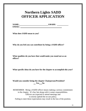## **Northern Lights SADD OFFICER APPLICATION**

| <b>NAME:</b>  | <b>GRADE:</b> |  |
|---------------|---------------|--|
| <b>EMAIL:</b> |               |  |

**What does SADD mean to you?**

**Why do you feel you can contribute by being a SADD officer?**

**What qualities do you have that would make you stand out as an officer?**

**What specific ideas do you have for the chapter to accomplish this year?**

**Would you consider being the chapter Chairperson/President? Yes No**

REMEMBER: Being a SADD officer means making a serious commitment to the chapter. It's fun, but along with it comes responsibilities. Officers are expected to attend meetings and to strictly uphold the no-use policy. Failing to meet these expectations may result in the loss of the position.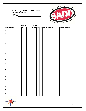#### **Northern Lights SADD CHAPTER ROSTER School/Community: Year:**

**Advisor:** 



|                     | Gender |           |         | Grade |             |    |                      |                     |
|---------------------|--------|-----------|---------|-------|-------------|----|----------------------|---------------------|
| <b>Student Name</b> |        | <b>MF</b> | $7   8$ |       | 9   10   11 | 12 | <b>Email Address</b> | <b>Home Address</b> |
| $\overline{1}$ .    |        |           |         |       |             |    |                      |                     |
| $\overline{2}$ .    |        |           |         |       |             |    |                      |                     |
| $\overline{3}$ .    |        |           |         |       |             |    |                      |                     |
| 4.                  |        |           |         |       |             |    |                      |                     |
| $\overline{5}$ .    |        |           |         |       |             |    |                      |                     |
| 6.                  |        |           |         |       |             |    |                      |                     |
| $\overline{7}$ .    |        |           |         |       |             |    |                      |                     |
| 8.                  |        |           |         |       |             |    |                      |                     |
| 9.                  |        |           |         |       |             |    |                      |                     |
| 10.                 |        |           |         |       |             |    |                      |                     |
| 11.                 |        |           |         |       |             |    |                      |                     |
| 12.                 |        |           |         |       |             |    |                      |                     |
| 13.                 |        |           |         |       |             |    |                      |                     |
| 14.                 |        |           |         |       |             |    |                      |                     |
| 15.                 |        |           |         |       |             |    |                      |                     |
| 16.                 |        |           |         |       |             |    |                      |                     |
| 17.                 |        |           |         |       |             |    |                      |                     |
| 18.                 |        |           |         |       |             |    |                      |                     |
| 19.                 |        |           |         |       |             |    |                      |                     |
| 20.                 |        |           |         |       |             |    |                      |                     |
|                     |        |           |         |       |             |    |                      |                     |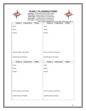

## **YEARLY PLANNING FORM**

**One star:** 1 project/semester (traffic safety) **Two stars:** 3 projects/year (2 awareness) **Three stars:** 5 projects/year (3 awareness) **Four stars:** 7 projects/year (3 awareness) **Five stars:** 1 project/month (4 awareness)



*\*see Chapter Standards for more Star Rating information*

| Project 1: □ Awareness<br>$\Box$ Other | Project 2: □ Awareness<br>$\Box$ Other |
|----------------------------------------|----------------------------------------|
| Issue:                                 | Issue:                                 |
| When:                                  | When:                                  |
| Project                                | Project                                |
| $\ddot{\phantom{a}}$                   | t                                      |
|                                        |                                        |
|                                        |                                        |
|                                        |                                        |
| How to involve community:              |                                        |
|                                        | How to involve community:              |
| <b>Goal/Purpose of Project:</b>        | Goal/Purpose of Project:               |
|                                        |                                        |
| Project 3: □ Awareness<br>$\Box$ Other | Project 4: □ Awareness<br>□Other       |
| Issue:                                 | Issue:                                 |
| When:                                  | When:                                  |
| Project                                | Project                                |
| $\ddot{\phantom{a}}$                   | $\vdots$                               |
|                                        |                                        |
|                                        |                                        |
|                                        |                                        |
|                                        |                                        |
| How to involve community:              | How to involve community:              |
| <b>Goal/Purpose of Project:</b>        | Goal/Purpose of Project:               |
|                                        |                                        |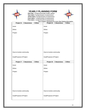

## **YEARLY PLANNING FORM**

**One star:** 1 project/semester (traffic safety) **Two stars:** 3 projects/year (2 awareness) **Three stars:** 5 projects/year (3 awareness) **Four stars:** 7 projects/year (3 awareness) **Five stars:** 1 project/month (4 awareness)



*\*see Chapter Standards for more Star Rating information*

| Project 5: □ Awareness<br>$\Box$ Other | Project 6: □ Awareness<br>$\Box$ Other |
|----------------------------------------|----------------------------------------|
| Issue:                                 | Issue:                                 |
| When:                                  | When:                                  |
| Project                                | Project                                |
| t                                      | $\ddot{\phantom{a}}$                   |
|                                        |                                        |
|                                        |                                        |
|                                        |                                        |
|                                        |                                        |
| How to involve community:              | How to involve community:              |
| <b>Goal/Purpose of Project:</b>        | Goal/Purpose of Project:               |
|                                        |                                        |
| Project 7: □ Awareness<br>$\Box$ Other | Project 8: □ Awareness<br>$\Box$ Other |
| Issue:                                 | Issue:                                 |
| When:                                  | When:                                  |
| Project                                | Project                                |
| $\ddot{\phantom{a}}$                   | $\vdots$                               |
|                                        |                                        |
|                                        |                                        |
|                                        |                                        |
|                                        |                                        |
| How to involve community:              | How to involve community:              |
| <b>Goal/Purpose of Project:</b>        | Goal/Purpose of Project:               |
|                                        |                                        |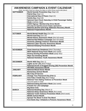|                  | <b>AWARENESS CAMPAIGN &amp; EVENT CALENDAR</b><br>(Note: any dates listed are always the dates on which those events take place) |  |  |  |  |  |  |  |
|------------------|----------------------------------------------------------------------------------------------------------------------------------|--|--|--|--|--|--|--|
| <b>SEPTEMBER</b> | <b>World Suicide Prevention Day (Sept 10)</b>                                                                                    |  |  |  |  |  |  |  |
|                  | Patriot Day (Sept 11)                                                                                                            |  |  |  |  |  |  |  |
|                  | International Day of Peace (Sept 21)                                                                                             |  |  |  |  |  |  |  |
|                  | Family Day (Sept 26)                                                                                                             |  |  |  |  |  |  |  |
|                  | National Seat Check Saturday & Child Passenger Safety                                                                            |  |  |  |  |  |  |  |
|                  | Week (mid/late Sept)                                                                                                             |  |  |  |  |  |  |  |
|                  | <b>SADD Signup / Membership Drive Month</b>                                                                                      |  |  |  |  |  |  |  |
|                  | (See page 23 regarding annual chapter registration)                                                                              |  |  |  |  |  |  |  |
|                  | National Alcohol and Drug Addiction Recovery Month                                                                               |  |  |  |  |  |  |  |
|                  | <b>National Preparedness Month</b>                                                                                               |  |  |  |  |  |  |  |
| <b>OCTOBER</b>   | <b>World Mental Health Day (Oct 10)</b>                                                                                          |  |  |  |  |  |  |  |
|                  | World Food Day (Oct 16)                                                                                                          |  |  |  |  |  |  |  |
|                  | Mental Illness Awareness Week (first full week)                                                                                  |  |  |  |  |  |  |  |
|                  | National Red Ribbon Campaign (last full week)                                                                                    |  |  |  |  |  |  |  |
|                  | <b>Domestic (Dating) Violence Awareness Month</b>                                                                                |  |  |  |  |  |  |  |
|                  | <b>National Cyber Security Awareness Month</b>                                                                                   |  |  |  |  |  |  |  |
|                  | <b>National Bullying Prevention Month</b>                                                                                        |  |  |  |  |  |  |  |
| <b>NOVEMBER</b>  |                                                                                                                                  |  |  |  |  |  |  |  |
|                  | <b>Great American Smokeout (third Thursday)</b>                                                                                  |  |  |  |  |  |  |  |
|                  | <b>NIDA National Drug Facts Week (first week)</b><br><b>Drowsy Driving Prevention Week (early Nov)</b>                           |  |  |  |  |  |  |  |
|                  | <b>Wipe Out Smoking Month</b>                                                                                                    |  |  |  |  |  |  |  |
|                  | National Homeless Youth Awareness Month                                                                                          |  |  |  |  |  |  |  |
|                  |                                                                                                                                  |  |  |  |  |  |  |  |
| <b>DECEMBER</b>  | World AIDS Day (Dec 1)                                                                                                           |  |  |  |  |  |  |  |
|                  | Lights on for Life (third Friday)                                                                                                |  |  |  |  |  |  |  |
|                  | <b>National Drunk &amp; Drugged Driving (3D) Prevention Month</b>                                                                |  |  |  |  |  |  |  |
|                  | <b>HIV/AIDS Awareness Month</b>                                                                                                  |  |  |  |  |  |  |  |
| <b>JANUARY</b>   | <b>National Blood Donor Month</b>                                                                                                |  |  |  |  |  |  |  |
|                  | <b>Elementary School Month</b>                                                                                                   |  |  |  |  |  |  |  |
|                  | <b>MLK Day Of Service</b>                                                                                                        |  |  |  |  |  |  |  |
| <b>FEBRUARY</b>  | <b>Change Your Password Day (Feb 1)</b>                                                                                          |  |  |  |  |  |  |  |
|                  | Give Kids A Smile Day (first Friday)                                                                                             |  |  |  |  |  |  |  |
|                  | <b>National Teen Dating Violence &amp; Prevention Week</b>                                                                       |  |  |  |  |  |  |  |
|                  | (second week in Feb)                                                                                                             |  |  |  |  |  |  |  |
|                  | National Eating Disorders Week (last week)                                                                                       |  |  |  |  |  |  |  |
|                  | <b>Friends For Life Campaign</b>                                                                                                 |  |  |  |  |  |  |  |
|                  | <b>Big Bowl Vote</b>                                                                                                             |  |  |  |  |  |  |  |
| <b>MARCH</b>     | <b>National Reading Day (March 2)</b>                                                                                            |  |  |  |  |  |  |  |
|                  | National Sleep Awareness Week (first week)                                                                                       |  |  |  |  |  |  |  |
|                  | National Youth Violence Prevention Week (third week)                                                                             |  |  |  |  |  |  |  |
|                  | <b>Middle School Month</b>                                                                                                       |  |  |  |  |  |  |  |
|                  | <b>Spread The Word To End The Word</b>                                                                                           |  |  |  |  |  |  |  |
|                  | Kick Butts Day / Inhalants & Poisons Awareness Week                                                                              |  |  |  |  |  |  |  |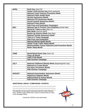| <b>APRIL</b><br>Earth Day (April 22)<br><b>Global Youth Service Day (third weekend)</b><br><b>National Youth Violence Prevention Week</b><br><b>National Public Health Week</b><br><b>Alcohol Awareness Month</b><br><b>National STD Awareness Month</b><br><b>Sexual Assault Awareness Month</b><br><b>National Poetry Month</b><br><b>Safe Prom and Graduation Campaigns</b><br>National Day to Prevent Teen Pregnancy (early May)<br><b>MAY</b><br>World No Tobacco Day (May 31)<br><b>Bike Week</b> (second week)<br><b>Buckle Up America Week (late May)</b><br><b>National Suicide Awareness Week</b><br><b>Click It or Ticket Campaign</b> |
|---------------------------------------------------------------------------------------------------------------------------------------------------------------------------------------------------------------------------------------------------------------------------------------------------------------------------------------------------------------------------------------------------------------------------------------------------------------------------------------------------------------------------------------------------------------------------------------------------------------------------------------------------|
|                                                                                                                                                                                                                                                                                                                                                                                                                                                                                                                                                                                                                                                   |
|                                                                                                                                                                                                                                                                                                                                                                                                                                                                                                                                                                                                                                                   |
|                                                                                                                                                                                                                                                                                                                                                                                                                                                                                                                                                                                                                                                   |
|                                                                                                                                                                                                                                                                                                                                                                                                                                                                                                                                                                                                                                                   |
|                                                                                                                                                                                                                                                                                                                                                                                                                                                                                                                                                                                                                                                   |
|                                                                                                                                                                                                                                                                                                                                                                                                                                                                                                                                                                                                                                                   |
|                                                                                                                                                                                                                                                                                                                                                                                                                                                                                                                                                                                                                                                   |
|                                                                                                                                                                                                                                                                                                                                                                                                                                                                                                                                                                                                                                                   |
|                                                                                                                                                                                                                                                                                                                                                                                                                                                                                                                                                                                                                                                   |
|                                                                                                                                                                                                                                                                                                                                                                                                                                                                                                                                                                                                                                                   |
|                                                                                                                                                                                                                                                                                                                                                                                                                                                                                                                                                                                                                                                   |
|                                                                                                                                                                                                                                                                                                                                                                                                                                                                                                                                                                                                                                                   |
|                                                                                                                                                                                                                                                                                                                                                                                                                                                                                                                                                                                                                                                   |
|                                                                                                                                                                                                                                                                                                                                                                                                                                                                                                                                                                                                                                                   |
|                                                                                                                                                                                                                                                                                                                                                                                                                                                                                                                                                                                                                                                   |
| <b>Safe Prom and Graduation</b>                                                                                                                                                                                                                                                                                                                                                                                                                                                                                                                                                                                                                   |
| <b>National Mental Health Month</b>                                                                                                                                                                                                                                                                                                                                                                                                                                                                                                                                                                                                               |
| <b>Global Youth Traffic Safety Month</b>                                                                                                                                                                                                                                                                                                                                                                                                                                                                                                                                                                                                          |
| <b>Melanoma/Skin Cancer Detection and Prevention Month</b>                                                                                                                                                                                                                                                                                                                                                                                                                                                                                                                                                                                        |
| <b>Better Sleep Month</b>                                                                                                                                                                                                                                                                                                                                                                                                                                                                                                                                                                                                                         |
|                                                                                                                                                                                                                                                                                                                                                                                                                                                                                                                                                                                                                                                   |
| <b>JUNE</b>                                                                                                                                                                                                                                                                                                                                                                                                                                                                                                                                                                                                                                       |
| <b>World Blood Donor Day (June 14)</b>                                                                                                                                                                                                                                                                                                                                                                                                                                                                                                                                                                                                            |
| <b>Clean Air Month</b>                                                                                                                                                                                                                                                                                                                                                                                                                                                                                                                                                                                                                            |
| <b>LGBT Pride Month</b>                                                                                                                                                                                                                                                                                                                                                                                                                                                                                                                                                                                                                           |
| <b>Safe Summer Campaign</b>                                                                                                                                                                                                                                                                                                                                                                                                                                                                                                                                                                                                                       |
| <b>JULY</b><br>National Childhood Obesity Week (beginning/mid July)                                                                                                                                                                                                                                                                                                                                                                                                                                                                                                                                                                               |
| <b>National Ice Cream Month</b>                                                                                                                                                                                                                                                                                                                                                                                                                                                                                                                                                                                                                   |
| <b>Eye Injury Prevention Month</b>                                                                                                                                                                                                                                                                                                                                                                                                                                                                                                                                                                                                                |
| <b>Safe Summer Campaign</b>                                                                                                                                                                                                                                                                                                                                                                                                                                                                                                                                                                                                                       |
|                                                                                                                                                                                                                                                                                                                                                                                                                                                                                                                                                                                                                                                   |
| <b>AUGUST</b><br><b>National Immunization Awareness Month</b>                                                                                                                                                                                                                                                                                                                                                                                                                                                                                                                                                                                     |
| <b>Happiness Happens Month</b>                                                                                                                                                                                                                                                                                                                                                                                                                                                                                                                                                                                                                    |
| <b>National Back to School Month</b>                                                                                                                                                                                                                                                                                                                                                                                                                                                                                                                                                                                                              |
| <b>Safe Summer Campaign</b>                                                                                                                                                                                                                                                                                                                                                                                                                                                                                                                                                                                                                       |

### **ADDITIONAL IDEAS / CAMPAIGNS / EVENTS:**

*This calendar can be used in conjunction with the Yearly Planning Form. Northern Lights SADD has a variety of activity ideas for many of the campaigns listed.*

*Contact NL SADD for more information.*

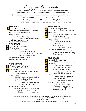## **Chapter Standards**

Northern Lights SADD is one of the premier youth organizations in the country. In order to assess the attributes of each chapter, <sup>A</sup>

5- **StarrankingSystem**is used tomaintain&enhance currentefforts for

each calendar year (January 1st-December 31st).

### **4 Categories are used to assess each Chapter:**

• **A**dministrative • **N**etworking • **P**rogramming • **C**ommunity **I**nvolvement •

## ONE STAR

•Using Membership Contract\*

- •Annual registration completed at sadd.org\*
- •At least 1 Meeting/semester\*\*

•Programming

–1 project/semester\*\* -Must be traffic-safety related

•No Networking or Community Involvement requirements

## TWO STARS



•At least 1 Meeting/quarter\*\* •Programming –3 projects/year\*\*

-Minimum of 1/semester -At least 2 awareness; other can be fun, fundraising, etc. •No Networking or Community Involvement requirements

## THREE STARS

•At least 2 Meetings/quarter\*\* –SADD officers/board members •Networking

–Attend regional or Northern Lights SADD conference

- •Programming
	- –Reality Check in at least 1 grade or Open Your Eyes project

–5 projects/year\*\*

-At least 3 awareness; others can be fun, fundraising, etc.

•Community Involvement

–Invite community –Share data/info to at least OR with 1 event community

## FOUR STARS

•At least 1 Meeting/month\*\* –SADD officers/board members •Networking –Attend regional & Northern Lights SADD conferences\*\*\* –Have a "buddy" chapter

•Programming

–Reality Check in at least 2 grades\*\*\*

–7 projects/year\*\*

-At least 3 awareness

•Community Involvement –Host 1 community event\*\* (banquet, informational meeting, teen panel, etc.)

## FIVE STARS



–SADD officers/board members •Networking –Attend regional & Northern Lights SADD conferences –Have a "buddy" chapter –At least 1 SADD member attend National SADD conference •Programming

–Reality Check in 3 grades\*\*\* –1 project/month\*\*

-At least 4 awareness

•Community Involvement –Host 1 community event\*\* –Participate in at least 1 community event (Relay for Life, blood drive, etc.)\*\*

\*Membership Contracts are expected to be signed by **each** member of **every** SADD chapter, and each chapter is expected to register with SADD National annually. \*\*September - May

\*\*\*Please contact NLYS and/or provide reasoning about inability to fulfill this standard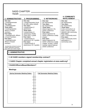## SADD CHAPTER: YEAR:

### **1. ADMINISTRATIVE\* 2. PROGRAMMING 3. NETWORKING INVOLVEMENT**

**One star:** 1 meeting/semester **Two stars:** 1 meeting/quarter **Three stars:** 2 meetings/quarter; officers or board members **Four stars:** 1 meeting/month; officers or board members **Five stars:** 2 meetings/month; officers or board members

\*membership contracts & annual chapter registration should be done within each SADD chapter

**One star:** 1 project/semester (must be traffic safety related) **Two stars:** 3 projects/year (2 awareness) **Three stars:** 5 projects/year (3 awareness); Reality Check (RC) 1 grade **Four stars:** 7 projects/year (3 awareness); RC 2 grades **Five stars:** 1 project/month (4 awareness); RC 3 grades

**One star:**<br>No requirements <br>No requirements No requirements <br>
Two stars:<br>
Two stars: **Two stars: Two stars:** No requirements <br>
Three stars:<br>
Three stars: **Three stars: Three stars:** Attend regional or NL | Invite community to at SADD conference **least 1 event or share**<br> **Four stars:** data/info with communi **Attend regional & NL** SADD conference; buddy | Host 1 community event chapter chapter **Five stars:**<br>**Five stars: Five stars: Five stars:** Attend regional & NL participate in 1<br>SADD conference: buddy community event SADD conference: buddy chapter; at least 1 SADD member attend National SADD conference

## **4. COMMUNITY**

data/info with community<br>**Four stars: Fixtherity** Fiver 1 community event;<br>participate in 1

### **1. ADMINISTRATIVE**

D **All SADD members signed membership contract?**

D **SADD Chapter completed annual chapter registration at [www.sadd.org?](http://www.sadd.org/)**

### D**SADDOfficers/BoardMembers?**

#### **Meetings**

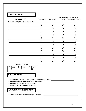## **2. PROGRAMMING**

|                                                                                                                                                                     |            |                        | <b>Host Community</b> | Participate In          |  |  |  |  |
|---------------------------------------------------------------------------------------------------------------------------------------------------------------------|------------|------------------------|-----------------------|-------------------------|--|--|--|--|
| <b>Project (Date)</b>                                                                                                                                               | Awareness? | <b>Traffic Safety?</b> | Event?                | <b>Community Event?</b> |  |  |  |  |
| ex: Grim Reaper Day (10/15/2012)                                                                                                                                    | D          | D                      | D                     | D                       |  |  |  |  |
|                                                                                                                                                                     | D          | D                      | D                     | נ ו                     |  |  |  |  |
|                                                                                                                                                                     | D          | וו                     | וו                    | l)                      |  |  |  |  |
|                                                                                                                                                                     | D          | n                      | Ð                     | D                       |  |  |  |  |
|                                                                                                                                                                     | D          | D                      | D                     | D                       |  |  |  |  |
|                                                                                                                                                                     | D          | D                      | D                     | D                       |  |  |  |  |
|                                                                                                                                                                     | D          | D                      | D                     | I)                      |  |  |  |  |
|                                                                                                                                                                     | D          | D                      | D                     | D                       |  |  |  |  |
|                                                                                                                                                                     | D          | D                      | D                     | D                       |  |  |  |  |
|                                                                                                                                                                     | D          | D                      | D                     | D                       |  |  |  |  |
|                                                                                                                                                                     | D          | D                      | D                     | D                       |  |  |  |  |
|                                                                                                                                                                     | D          | D                      | D                     | D                       |  |  |  |  |
|                                                                                                                                                                     | D          | D                      | D                     | D                       |  |  |  |  |
| <b>Reality Check?</b>                                                                                                                                               |            |                        |                       |                         |  |  |  |  |
| $5th$ Grade<br>$6th$ Grade<br>4 <sup>th</sup> Grade<br>D<br>D<br>נו                                                                                                 |            |                        |                       |                         |  |  |  |  |
| <b>3. NETWORKING</b>                                                                                                                                                |            |                        |                       |                         |  |  |  |  |
| D Attend regional SADD conference, if offered? Location: _______________________<br>D Attend Northern Lights SADD conference?<br>D Attend National SADD conference? |            |                        |                       |                         |  |  |  |  |
| <b>4. COMMUNITY INVOLVEMENT</b>                                                                                                                                     |            |                        |                       |                         |  |  |  |  |
| D Share data/info with community? Explain:                                                                                                                          |            |                        |                       |                         |  |  |  |  |
|                                                                                                                                                                     |            |                        |                       |                         |  |  |  |  |
|                                                                                                                                                                     |            |                        |                       | 34                      |  |  |  |  |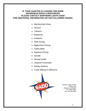### **IF YOUR CHAPTER IS LOOKING FOR MORE AWARENESS IDEAS & RESOURCES, PLEASE CONTACT NORTHERN LIGHTS SADD FOR ADDITIONAL INFORMATION ON THE FOLLOWING ISSUES:**

- **Membership Drives**
- Alcohol
- **Tobacco**
- **Marijuana**
- **Inhalants**
- Safe Driving
- Aggressive Driving
- **Safety Belts**
- **Impaired Driving**
- **Suicide**
- **Sexual Health**
- Violence Prevention
- Dating Violence
- Youth Making A Difference



*Northern Lights SADD PO Box 743 Hillsboro, ND 58045 Ph: 70636.5852 Fax: 701.636.3929*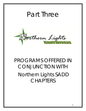## Part Three



## PROGRAMS OFFERED IN CONJUNCTION WITH Northern Lights SADD **CHAPTERS**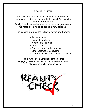## **REALITY CHECK**

Reality Check Version 2.1 is the latest revision of the curriculum created by Northern Lights Youth Services for elementary students.

Reality Check is a series of seven lessons for grades 4-6, facilitated by trained high school SADD students.

The lessons integrate the following seven key themes:

- •Respect for self
- •Respect for others
- •Alcohol and the brain
- •Other drugs
- •Peer pressure & relationships
- •Other destructive behaviors
- •Leadership & life after elementary school

Reality Check v. 2.1 includes strategies for engaging parents in a discussion of the issues and promoting parent-child communication.

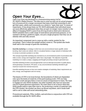

Open Your Eyes was developed in a brainstorming session led by NL SADD's Media Director. The idea was to come up with not an actual program, but a *framework* for a larger movement that teens could feel ownership in and get their peers, adults and community as a whole to "open their eyes" to issues of importance. It has always been our NL SADD philosophy that individual issues are more effectively addressed when they are part of a larger vision (similar to the effect of changing SADD's name from *driving drunk* to *destructive decisions*). SADD members have a wide range of motivations and personal passions, so we wanted to develop a platform (again, not just a single program) that they can all identify with and rally around.

An important component was to come up with a catchy symbol for the movement. That is where the eyeball symbol comes in. The symbol also lends itself well to the concept of *guerrilla marketing*:

*Guerrilla marketing is a strategy in which low-cost unconventional means (graffiti, sticker bombing, flash mobs) are utilized, often in a localized fashion or large network of individual cells, to convey or promote a product or an idea.*

*The concept of guerrilla marketing was invented as an unconventional system of promotions that relies on time, energy and imagination rather than a big budget. The objective of guerrilla marketing is to create a unique, engaging and thought-provoking concept to generate buzz.*

*Guerrilla marketing involves unusual approaches such as intercept encounters in public places, street giveaways of products, PR stunts, or any unconventional marketing intended to get maximum results from minimal resources.*

*Guerrilla marketing focuses on low cost creative strategies of marketing. Basic requirements are time, energy, and imagination and not money.*

The beauty of OYE is its loose format, the boundaries of which are dependent only upon the limits of creativity of the participating youth. OYE can help empower youth and give them a voice on issues of importance to teens. We want to engage not only SADD students, but other students who have an issue that may be of great personal importance. We want them to let us know what they think people need to open their eyes to. By producing a variety of materials with the OYE symbol, the symbol can show up almost anywhere, and it lends itself well to use in video and social networking sites.

Promotional materials, PSAs, toolkits, and activities in conjunction with OYE are available through the NL SADD office.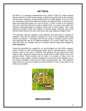## **GET REAL**

Get REAL is a campaign implemented by NL SADD in 2000. NL SADD realized that the behavior of most young people is influenced a great deal by the activities of their peers. However, we also realized that to a large degree, it isn't so much the actual peer activity that influences people, but what we *think*, or *perceive* our peers are doing that causes us to act as we do. In 2000, it came to our attention that a NY university had found a way to address this. In a survey, they asked the students what percentage of students drank and to what extent. Then, they asked the students about *their* degree of alcohol usage. Naturally, they found that the actual alcohol use was much lower than what students *thought* it was.

The university used the statistics it had collected and used them to educate its students. They put the statistics ("factoids") in front of the students where they couldn't be ignored – messages built into the campus computer system, where they appeared like ads do on different websites. As a result, within only a twoyear time span, the college's rate of on-campus alcohol usage had dropped by *over 20 percent*.

Using this precedent as a guide for us, we developed our Get REAL program, which consists of radio and television public service advertisements, in-school posters, and our own sort of "factoids" that address not only alcohol but other drugs as well, along with issues such as sexual activity, traffic safety issues, and general advice. These factoids can be used in a number of ways, such as handouts, locker-stuffers, posted in bathrooms or built into poster displays, put in the school newsletter, read over the daily announcements, etc. The important thing is that you use your creativity to put the statistics in front of your peers in as many ways possible.



## **BREAKDOWN**